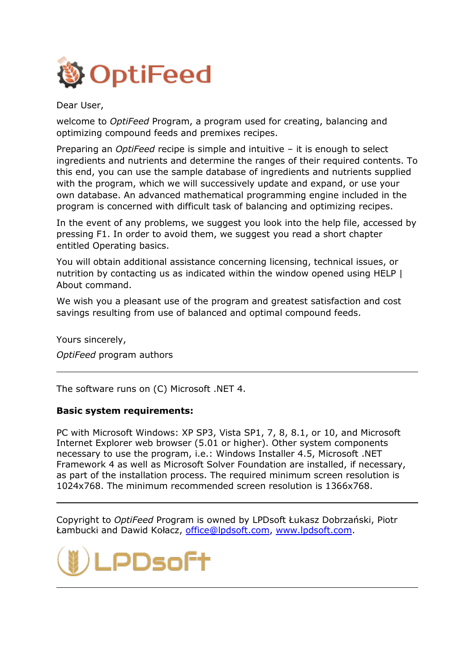

Dear User,

welcome to *OptiFeed* Program, a program used for creating, balancing and optimizing compound feeds and premixes recipes.

Preparing an *OptiFeed* recipe is simple and intuitive – it is enough to select ingredients and nutrients and determine the ranges of their required contents. To this end, you can use the sample database of ingredients and nutrients supplied with the program, which we will successively update and expand, or use your own database. An advanced mathematical programming engine included in the program is concerned with difficult task of balancing and optimizing recipes.

In the event of any problems, we suggest you look into the help file, accessed by pressing F1. In order to avoid them, we suggest you read a short chapter entitled Operating basics.

You will obtain additional assistance concerning licensing, technical issues, or nutrition by contacting us as indicated within the window opened using HELP | About command.

We wish you a pleasant use of the program and greatest satisfaction and cost savings resulting from use of balanced and optimal compound feeds.

Yours sincerely,

*OptiFeed* program authors

The software runs on (C) Microsoft .NET 4.

## **Basic system requirements:**

PC with Microsoft Windows: XP SP3, Vista SP1, 7, 8, 8.1, or 10, and Microsoft Internet Explorer web browser (5.01 or higher). Other system components necessary to use the program, i.e.: Windows Installer 4.5, Microsoft .NET Framework 4 as well as Microsoft Solver Foundation are installed, if necessary, as part of the installation process. The required minimum screen resolution is 1024x768. The minimum recommended screen resolution is 1366x768.

Copyright to *OptiFeed* Program is owned by LPDsoft Łukasz Dobrzański, Piotr Łambucki and Dawid Kołacz, office@lpdsoft.com, www.lpdsoft.com.